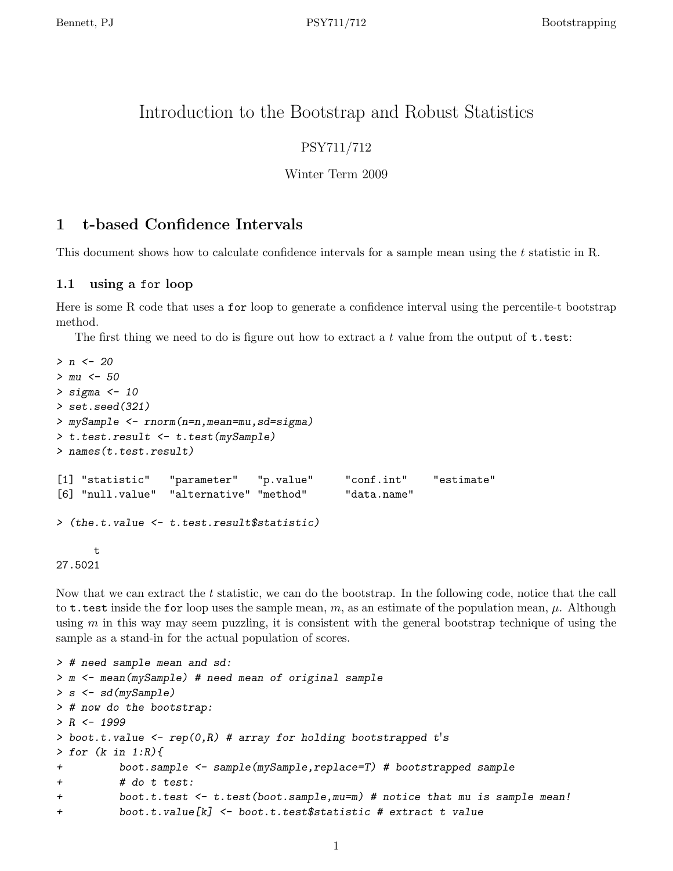# Introduction to the Bootstrap and Robust Statistics

## PSY711/712

### Winter Term 2009

## 1 t-based Confidence Intervals

This document shows how to calculate confidence intervals for a sample mean using the t statistic in R.

### 1.1 using a for loop

Here is some R code that uses a for loop to generate a confidence interval using the percentile-t bootstrap method.

The first thing we need to do is figure out how to extract a t value from the output of  $t.test$ :

```
> n < -20> mu < -50> sigma <- 10
> set.seed(321)
> mySample <- rnorm(n=n,mean=mu,sd=sigma)
> t.test.result <- t.test(mySample)
> names(t.test.result)
[1] "statistic" "parameter" "p.value" "conf.int" "estimate"
[6] "null.value" "alternative" "method" "data.name"
> (the.t.value <- t.test.result$statistic)
     t
27.5021
```
Now that we can extract the t statistic, we can do the bootstrap. In the following code, notice that the call to **t**.test inside the for loop uses the sample mean, m, as an estimate of the population mean,  $\mu$ . Although using  $m$  in this way may seem puzzling, it is consistent with the general bootstrap technique of using the sample as a stand-in for the actual population of scores.

```
> # need sample mean and sd:
> m <- mean(mySample) # need mean of original sample
> s <- sd(mySample)
> # now do the bootstrap:
> R < - 1999> boot.t.value <- rep(0,R) # array for holding bootstrapped t's> for (k in 1:R){
+ boot.sample <- sample(mySample,replace=T) # bootstrapped sample
+ # do t test:
+ boot.t.test <- t.test(boot.sample,mu=m) # notice that mu is sample mean!
+ boot.t.value[k] <- boot.t.test$statistic # extract t value
```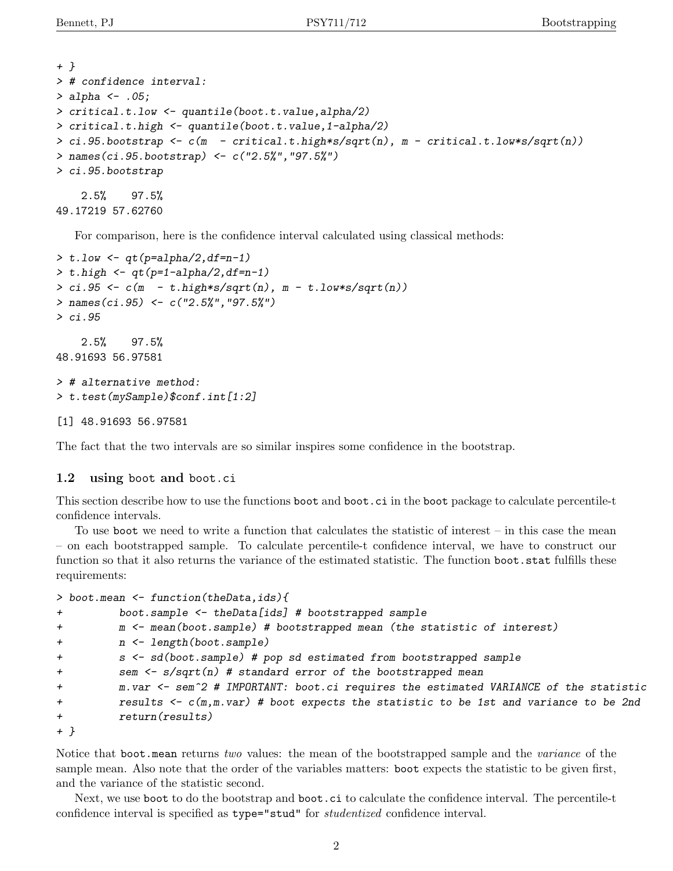```
+ }
> # confidence interval:
> alpha <- .05;
> critical.t.low <- quantile(boot.t.value,alpha/2)
> critical.t.high <- quantile(boot.t.value,1-alpha/2)
> ci.95.bootstrap \leq c(m - critical.t.high*s/sqrt(n)), m - critical.t.low*s/sqrt(n))
> names(ci.95.bootstrap) <- c("2.5%","97.5%")
> ci.95.bootstrap
    2.5% 97.5%
```
49.17219 57.62760

For comparison, here is the confidence interval calculated using classical methods:

```
> t.low \leftarrow qt(p=alpha/2,df=n-1)
> t.high < - qt(p=1-alpha/2, df=n-1)> ci.95 \leq c(m - t.high*s/sqrt(n), m - t.low*s/sqrt(n))> names(ci.95) <- c("2.5%","97.5%")
> ci.95
    2.5% 97.5%
48.91693 56.97581
> # alternative method:
> t.test(mySample)$conf.int[1:2]
[1] 48.91693 56.97581
```
The fact that the two intervals are so similar inspires some confidence in the bootstrap.

#### 1.2 using boot and boot.ci

This section describe how to use the functions boot and boot.ci in the boot package to calculate percentile-t confidence intervals.

To use boot we need to write a function that calculates the statistic of interest – in this case the mean – on each bootstrapped sample. To calculate percentile-t confidence interval, we have to construct our function so that it also returns the variance of the estimated statistic. The function boot.stat fulfills these requirements:

```
> boot.mean <- function(theData,ids){
```

```
+ boot.sample <- theData[ids] # bootstrapped sample
+ m <- mean(boot.sample) # bootstrapped mean (the statistic of interest)
+ n <- length(boot.sample)
+ s <- sd(boot.sample) # pop sd estimated from bootstrapped sample
+ sem <- s/sqrt(n) # standard error of the bootstrapped mean
+ m.var <- sem^2 # IMPORTANT: boot.ci requires the estimated VARIANCE of the statistic
+ results <- c(m,m.var) # boot expects the statistic to be 1st and variance to be 2nd
+ return(results)
+ }
```
Notice that boot.mean returns two values: the mean of the bootstrapped sample and the variance of the sample mean. Also note that the order of the variables matters: boot expects the statistic to be given first, and the variance of the statistic second.

Next, we use boot to do the bootstrap and boot.ci to calculate the confidence interval. The percentile-t confidence interval is specified as type="stud" for studentized confidence interval.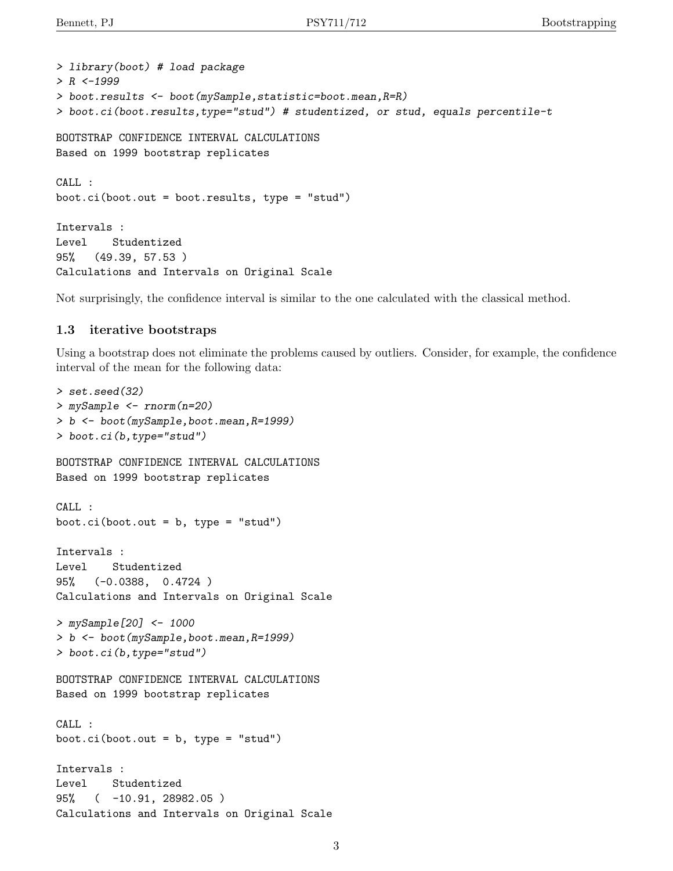```
> library(boot) # load package
> R < -1999> boot.results <- boot(mySample,statistic=boot.mean,R=R)
> boot.ci(boot.results,type="stud") # studentized, or stud, equals percentile-t
BOOTSTRAP CONFIDENCE INTERVAL CALCULATIONS
Based on 1999 bootstrap replicates
CALL :
boot.ci(boot.out = boot.results, type = "stud")
Intervals :
Level Studentized
95% (49.39, 57.53 )
Calculations and Intervals on Original Scale
```
Not surprisingly, the confidence interval is similar to the one calculated with the classical method.

#### 1.3 iterative bootstraps

Using a bootstrap does not eliminate the problems caused by outliers. Consider, for example, the confidence interval of the mean for the following data:

```
> set.seed(32)
> mySample <- rnorm(n=20)
> b <- boot(mySample,boot.mean,R=1999)
> boot.ci(b,type="stud")
BOOTSTRAP CONFIDENCE INTERVAL CALCULATIONS
Based on 1999 bootstrap replicates
CALL :
boot.ci(boot.out = b, type = "stud")Intervals :
Level Studentized
95% (-0.0388, 0.4724 )
Calculations and Intervals on Original Scale
> mySample[20] <- 1000
> b <- boot(mySample,boot.mean,R=1999)
> boot.ci(b,type="stud")
BOOTSTRAP CONFIDENCE INTERVAL CALCULATIONS
Based on 1999 bootstrap replicates
CALL :
boot.ci(boot.out = b, type = "stud")Intervals :
Level Studentized
95% ( -10.91, 28982.05 )
Calculations and Intervals on Original Scale
```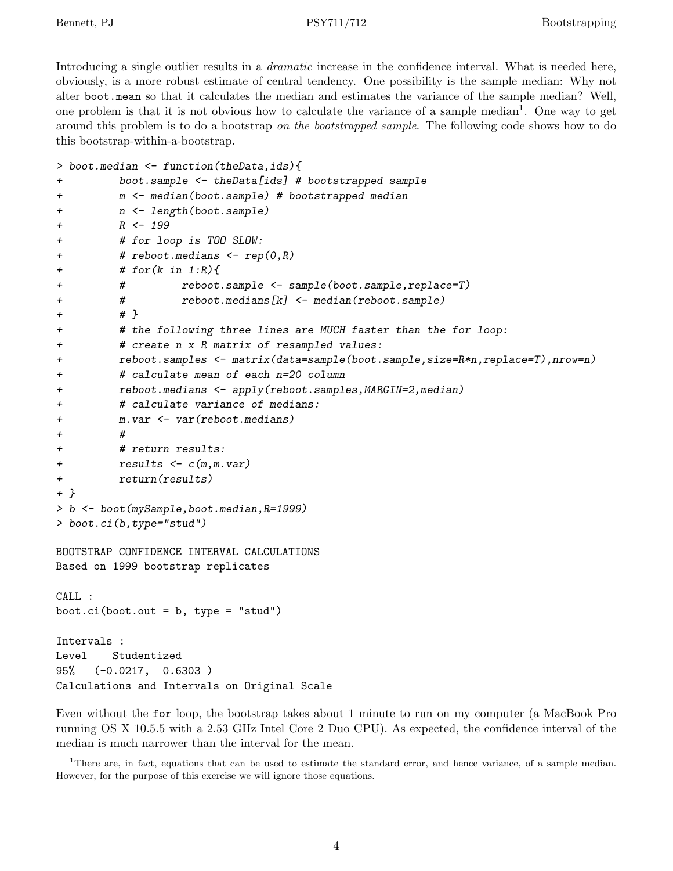Introducing a single outlier results in a *dramatic* increase in the confidence interval. What is needed here, obviously, is a more robust estimate of central tendency. One possibility is the sample median: Why not alter boot.mean so that it calculates the median and estimates the variance of the sample median? Well, one problem is that it is not obvious how to calculate the variance of a sample median<sup>1</sup>. One way to get around this problem is to do a bootstrap on the bootstrapped sample. The following code shows how to do this bootstrap-within-a-bootstrap.

```
> boot.median <- function(theData,ids){
```

```
+ boot.sample <- theData[ids] # bootstrapped sample
+ m <- median(boot.sample) # bootstrapped median
+ n <- length(boot.sample)
+ R <- 199
+ # for loop is TOO SLOW:
+ # reboot.medians <- rep(0,R)
+ # for(k in 1:R){
+ # reboot.sample <- sample(boot.sample,replace=T)
+ # reboot.medians[k] <- median(reboot.sample)
+ # }
+ # the following three lines are MUCH faster than the for loop:
+ # create n x R matrix of resampled values:
+ reboot.samples <- matrix(data=sample(boot.sample,size=R*n,replace=T),nrow=n)
+ # calculate mean of each n=20 column
+ reboot.medians <- apply(reboot.samples,MARGIN=2,median)
+ # calculate variance of medians:
+ m.var <- var(reboot.medians)
+ #
+ # return results:
+ results <- c(m,m.var)
+ return(results)
+ }
> b <- boot(mySample,boot.median,R=1999)
> boot.ci(b,type="stud")
BOOTSTRAP CONFIDENCE INTERVAL CALCULATIONS
Based on 1999 bootstrap replicates
CALL :
boot.ci(boot.out = b, type = "stud")Intervals :
Level Studentized
95% (-0.0217, 0.6303 )
Calculations and Intervals on Original Scale
```
Even without the for loop, the bootstrap takes about 1 minute to run on my computer (a MacBook Pro running OS X 10.5.5 with a 2.53 GHz Intel Core 2 Duo CPU). As expected, the confidence interval of the median is much narrower than the interval for the mean.

<sup>&</sup>lt;sup>1</sup>There are, in fact, equations that can be used to estimate the standard error, and hence variance, of a sample median. However, for the purpose of this exercise we will ignore those equations.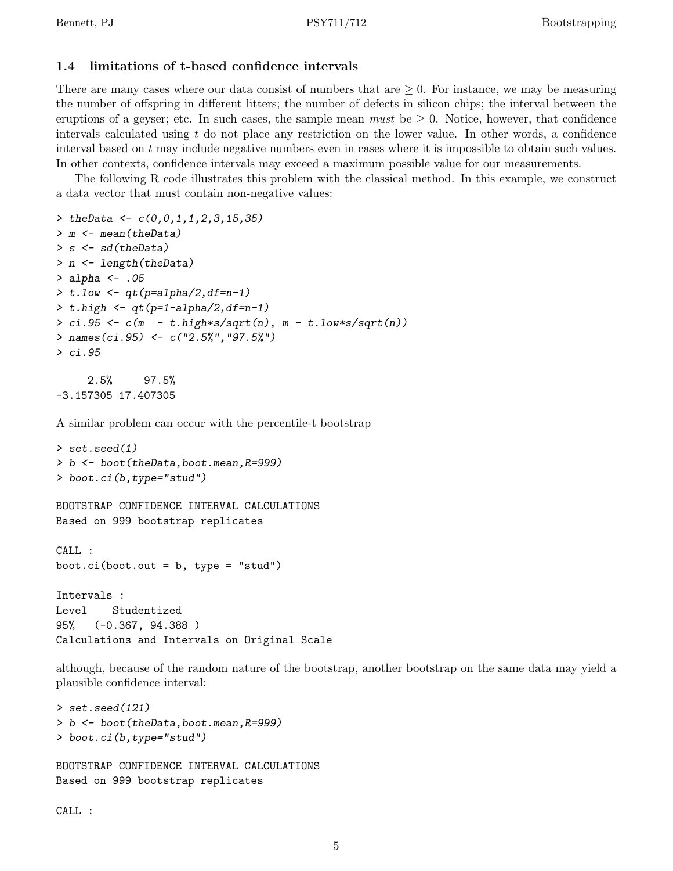### 1.4 limitations of t-based confidence intervals

There are many cases where our data consist of numbers that are  $\geq 0$ . For instance, we may be measuring the number of offspring in different litters; the number of defects in silicon chips; the interval between the eruptions of a geyser; etc. In such cases, the sample mean *must* be  $\geq 0$ . Notice, however, that confidence intervals calculated using  $t$  do not place any restriction on the lower value. In other words, a confidence interval based on  $t$  may include negative numbers even in cases where it is impossible to obtain such values. In other contexts, confidence intervals may exceed a maximum possible value for our measurements.

The following R code illustrates this problem with the classical method. In this example, we construct a data vector that must contain non-negative values:

```
> the Data <- c(0,0,1,1,2,3,15,35)> m <- mean(theData)
> s <- sd(theData)
> n <- length(theData)
> alpha <-.05
> t.low \leq q t (p=alpha/2, df=n-1)
> t.high < - qt(p=1-alpha/2, df=n-1)> ci.95 <- c(m - t.high*s/sqrt(n), m - t.low*s/sqrt(n))
> names(ci.95) <- c("2.5%", "97.5%")
> ci.95
     2.5% 97.5%
-3.157305 17.407305
```
A similar problem can occur with the percentile-t bootstrap

```
> set.seed(1)
> b <- boot(theData,boot.mean,R=999)
> boot.ci(b,type="stud")
```

```
BOOTSTRAP CONFIDENCE INTERVAL CALCULATIONS
Based on 999 bootstrap replicates
```

```
CALL :
boot.ci(boot.out = b, type = "stud")
```

```
Intervals :
Level Studentized
95% (-0.367, 94.388 )
Calculations and Intervals on Original Scale
```
although, because of the random nature of the bootstrap, another bootstrap on the same data may yield a plausible confidence interval:

```
> set.seed(121)
> b <- boot(theData,boot.mean,R=999)
> boot.ci(b,type="stud")
BOOTSTRAP CONFIDENCE INTERVAL CALCULATIONS
```
Based on 999 bootstrap replicates

CALL :